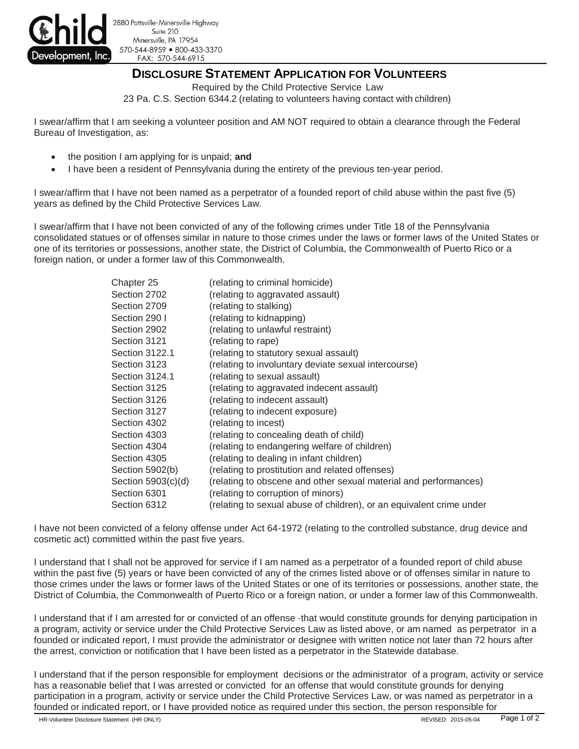

2880 Pottsville-Minersville Highway Suite 210 Minersville, PA 17954 570-544-8959 800-433-3370 FAX: 570-544-6915

## **DISCLOSURE STATEMENT APPLICATION FOR VOLUNTEERS**

Required by the Child Protective Service Law

23 Pa. C.S. Section 6344.2 (relating to volunteers having contact with children)

I swear/affirm that I am seeking a volunteer position and AM NOT required to obtain a clearance through the Federal Bureau of Investigation, as:

- the position I am applying for is unpaid; **and**
- I have been a resident of Pennsylvania during the entirety of the previous ten-year period.

I swear/affirm that I have not been named as a perpetrator of a founded report of child abuse within the past five (5) years as defined by the Child Protective Services Law.

I swear/affirm that I have not been convicted of any of the following crimes under Title 18 of the Pennsylvania consolidated statues or of offenses similar in nature to those crimes under the laws or former laws of the United States or one of its territories or possessions, another state, the District of Columbia, the Commonwealth of Puerto Rico or a foreign nation, or under a former law of this Commonwealth.

| Chapter 25            | (relating to criminal homicide)                                      |  |  |
|-----------------------|----------------------------------------------------------------------|--|--|
| Section 2702          | (relating to aggravated assault)                                     |  |  |
| Section 2709          | (relating to stalking)                                               |  |  |
| Section 290 I         | (relating to kidnapping)                                             |  |  |
| Section 2902          | (relating to unlawful restraint)                                     |  |  |
| Section 3121          | (relating to rape)                                                   |  |  |
| <b>Section 3122.1</b> | (relating to statutory sexual assault)                               |  |  |
| Section 3123          | (relating to involuntary deviate sexual intercourse)                 |  |  |
| Section 3124.1        | (relating to sexual assault)                                         |  |  |
| Section 3125          | (relating to aggravated indecent assault)                            |  |  |
| Section 3126          | (relating to indecent assault)                                       |  |  |
| Section 3127          | (relating to indecent exposure)                                      |  |  |
| Section 4302          | (relating to incest)                                                 |  |  |
| Section 4303          | (relating to concealing death of child)                              |  |  |
| Section 4304          | (relating to endangering welfare of children)                        |  |  |
| Section 4305          | (relating to dealing in infant children)                             |  |  |
| Section 5902(b)       | (relating to prostitution and related offenses)                      |  |  |
| Section 5903(c)(d)    | (relating to obscene and other sexual material and performances)     |  |  |
| Section 6301          | (relating to corruption of minors)                                   |  |  |
| Section 6312          | (relating to sexual abuse of children), or an equivalent crime under |  |  |

I have not been convicted of a felony offense under Act 64-1972 (relating to the controlled substance, drug device and cosmetic act) committed within the past five years.

I understand that I shall not be approved for service if I am named as a perpetrator of a founded report of child abuse within the past five (5) years or have been convicted of any of the crimes listed above or of offenses similar in nature to those crimes under the laws or former laws of the United States or one of its territories or possessions, another state, the District of Columbia, the Commonwealth of Puerto Rico or a foreign nation, or under a former law of this Commonwealth.

I understand that if I am arrested for or convicted of an offense ·that would constitute grounds for denying participation in a program, activity or service under the Child Protective Services Law as listed above, or am named as perpetrator in a founded or indicated report, I must provide the administrator or designee with written notice not later than 72 hours after the arrest, conviction or notification that I have been listed as a perpetrator in the Statewide database.

I understand that if the person responsible for employment decisions or the administrator of a program, activity or service has a reasonable belief that I was arrested or convicted for an offense that would constitute grounds for denying participation in a program, activity or service under the Child Protective Services Law, or was named as perpetrator in a founded or indicated report, or I have provided notice as required under this section, the person responsible for